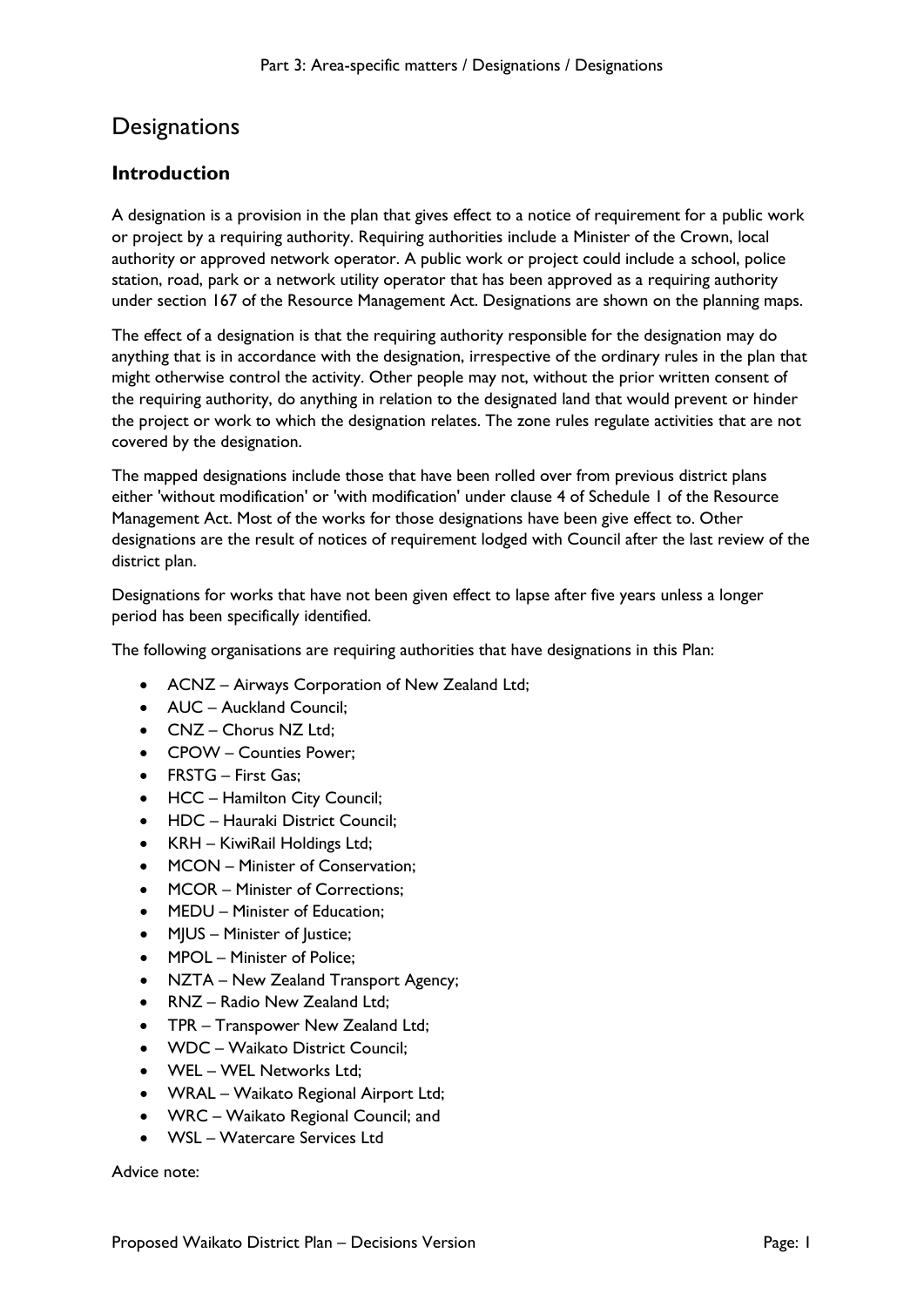## **Designations**

## **Introduction**

A designation is a provision in the plan that gives effect to a notice of requirement for a public work or project by a requiring authority. Requiring authorities include a Minister of the Crown, local authority or approved network operator. A public work or project could include a school, police station, road, park or a network utility operator that has been approved as a requiring authority under section 167 of the Resource Management Act. Designations are shown on the planning maps.

The effect of a designation is that the requiring authority responsible for the designation may do anything that is in accordance with the designation, irrespective of the ordinary rules in the plan that might otherwise control the activity. Other people may not, without the prior written consent of the requiring authority, do anything in relation to the designated land that would prevent or hinder the project or work to which the designation relates. The zone rules regulate activities that are not covered by the designation.

The mapped designations include those that have been rolled over from previous district plans either 'without modification' or 'with modification' under clause 4 of Schedule 1 of the Resource Management Act. Most of the works for those designations have been give effect to. Other designations are the result of notices of requirement lodged with Council after the last review of the district plan.

Designations for works that have not been given effect to lapse after five years unless a longer period has been specifically identified.

The following organisations are requiring authorities that have designations in this Plan:

- ACNZ Airways Corporation of New Zealand Ltd;
- AUC Auckland Council:
- CNZ Chorus NZ Ltd:
- CPOW Counties Power;
- FRSTG First Gas;
- HCC Hamilton City Council;
- HDC Hauraki District Council;
- KRH KiwiRail Holdings Ltd;
- MCON Minister of Conservation;
- MCOR Minister of Corrections;
- MEDU Minister of Education:
- MJUS Minister of Justice;
- MPOL Minister of Police;
- NZTA New Zealand Transport Agency;
- RNZ Radio New Zealand Ltd;
- TPR Transpower New Zealand Ltd;
- WDC Waikato District Council;
- WEL WEL Networks Ltd;
- WRAL Waikato Regional Airport Ltd;
- WRC Waikato Regional Council; and
- WSL Watercare Services Ltd

Advice note: